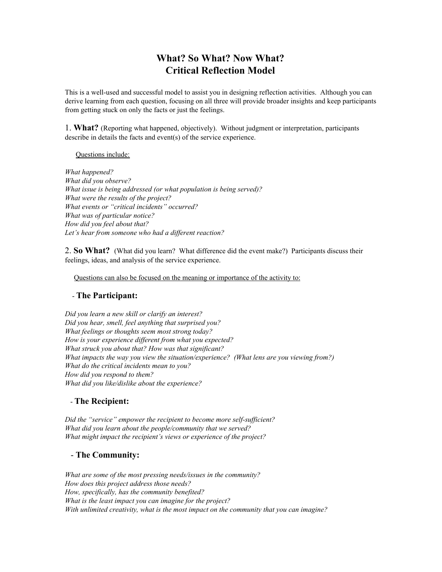# **What? So What? Now What? Critical Reflection Model**

This is a well-used and successful model to assist you in designing reflection activities. Although you can derive learning from each question, focusing on all three will provide broader insights and keep participants from getting stuck on only the facts or just the feelings.

1. **What?** (Reporting what happened, objectively). Without judgment or interpretation, participants describe in details the facts and event(s) of the service experience.

Questions include:

*What happened? What did you observe? What issue is being addressed (or what population is being served)? What were the results of the project? What events or "critical incidents" occurred? What was of particular notice? How did you feel about that? Let's hear from someone who had a dif erent reaction?*

2. **So What?** (What did you learn? What difference did the event make?) Participants discuss their feelings, ideas, and analysis of the service experience.

Questions can also be focused on the meaning or importance of the activity to:

### - **The Participant:**

*Did you learn a new skill or clarify an interest? Did you hear, smell, feel anything that surprised you? What feelings or thoughts seem most strong today? How is your experience dif erent from what you expected? What struck you about that? How was that significant? What impacts the way you view the situation/experience? (What lens are you viewing from?) What do the critical incidents mean to you? How did you respond to them? What did you like/dislike about the experience?*

### - **The Recipient:**

*Did the "service" empower the recipient to become more self-suf icient? What did you learn about the people/community that we served? What might impact the recipient's views or experience of the project?*

### - **The Community:**

*What are some of the most pressing needs/issues in the community? How does this project address those needs? How, specifically, has the community benefited? What is the least impact you can imagine for the project? With unlimited creativity, what is the most impact on the community that you can imagine?*